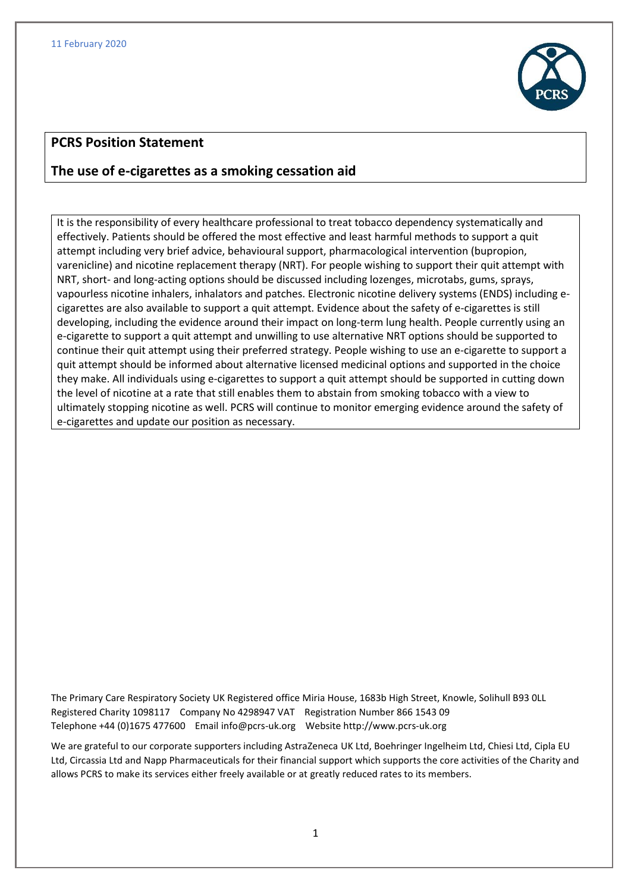

# **PCRS Position Statement**

# **The use of e-cigarettes as a smoking cessation aid**

It is the responsibility of every healthcare professional to treat tobacco dependency systematically and effectively. Patients should be offered the most effective and least harmful methods to support a quit attempt including very brief advice, behavioural support, pharmacological intervention (bupropion, varenicline) and nicotine replacement therapy (NRT). For people wishing to support their quit attempt with NRT, short- and long-acting options should be discussed including lozenges, microtabs, gums, sprays, vapourless nicotine inhalers, inhalators and patches. Electronic nicotine delivery systems (ENDS) including ecigarettes are also available to support a quit attempt. Evidence about the safety of e-cigarettes is still developing, including the evidence around their impact on long-term lung health. People currently using an e-cigarette to support a quit attempt and unwilling to use alternative NRT options should be supported to continue their quit attempt using their preferred strategy. People wishing to use an e-cigarette to support a quit attempt should be informed about alternative licensed medicinal options and supported in the choice they make. All individuals using e-cigarettes to support a quit attempt should be supported in cutting down the level of nicotine at a rate that still enables them to abstain from smoking tobacco with a view to ultimately stopping nicotine as well. PCRS will continue to monitor emerging evidence around the safety of e-cigarettes and update our position as necessary.

The Primary Care Respiratory Society UK Registered office Miria House, 1683b High Street, Knowle, Solihull B93 0LL Registered Charity 1098117 Company No 4298947 VAT Registration Number 866 1543 09 Telephone +44 (0)1675 477600 Emai[l info@pcrs-uk.org](mailto:info@pcrs-uk.org) Website http://www.pcrs-uk.org

We are grateful to our corporate supporters including AstraZeneca UK Ltd, Boehringer Ingelheim Ltd, Chiesi Ltd, Cipla EU Ltd, Circassia Ltd and Napp Pharmaceuticals for their financial support which supports the core activities of the Charity and allows PCRS to make its services either freely available or at greatly reduced rates to its members.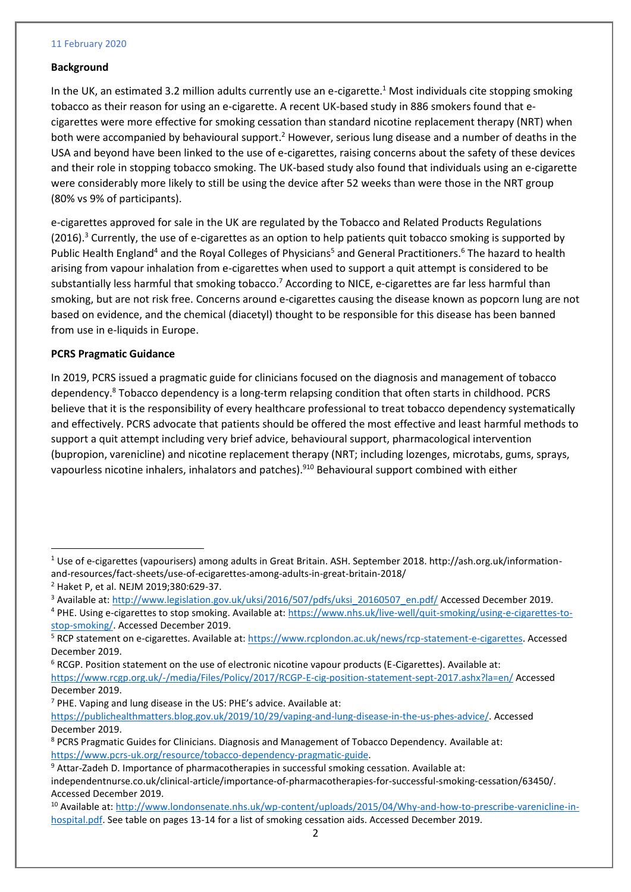### 11 February 2020

### **Background**

In the UK, an estimated 3.2 million adults currently use an e-cigarette.<sup>1</sup> Most individuals cite stopping smoking tobacco as their reason for using an e-cigarette. A recent UK-based study in 886 smokers found that ecigarettes were more effective for smoking cessation than standard nicotine replacement therapy (NRT) when both were accompanied by behavioural support.<sup>2</sup> However, serious lung disease and a number of deaths in the USA and beyond have been linked to the use of e-cigarettes, raising concerns about the safety of these devices and their role in stopping tobacco smoking. The UK-based study also found that individuals using an e-cigarette were considerably more likely to still be using the device after 52 weeks than were those in the NRT group (80% vs 9% of participants).

e-cigarettes approved for sale in the UK are regulated by the Tobacco and Related Products Regulations  $(2016).$ <sup>3</sup> Currently, the use of e-cigarettes as an option to help patients quit tobacco smoking is supported by Public Health England<sup>4</sup> and the Royal Colleges of Physicians<sup>5</sup> and General Practitioners.<sup>6</sup> The hazard to health arising from vapour inhalation from e-cigarettes when used to support a quit attempt is considered to be substantially less harmful that smoking tobacco.<sup>7</sup> According to NICE, e-cigarettes are far less harmful than smoking, but are not risk free. Concerns around e-cigarettes causing the disease known as popcorn lung are not based on evidence, and the chemical (diacetyl) thought to be responsible for this disease has been banned from use in e-liquids in Europe.

## **PCRS Pragmatic Guidance**

In 2019, PCRS issued a pragmatic guide for clinicians focused on the diagnosis and management of tobacco dependency.<sup>8</sup> Tobacco dependency is a long-term relapsing condition that often starts in childhood. PCRS believe that it is the responsibility of every healthcare professional to treat tobacco dependency systematically and effectively. PCRS advocate that patients should be offered the most effective and least harmful methods to support a quit attempt including very brief advice, behavioural support, pharmacological intervention (bupropion, varenicline) and nicotine replacement therapy (NRT; including lozenges, microtabs, gums, sprays, vapourless nicotine inhalers, inhalators and patches).<sup>910</sup> Behavioural support combined with either

 $\ddot{\phantom{a}}$ 

 $<sup>7</sup>$  PHE. Vaping and lung disease in the US: PHE's advice. Available at:</sup>

<sup>1</sup> Use of e-cigarettes (vapourisers) among adults in Great Britain. ASH. September 2018. http://ash.org.uk/informationand-resources/fact-sheets/use-of-ecigarettes-among-adults-in-great-britain-2018/

<sup>2</sup> Haket P, et al. NEJM 2019;380:629-37.

<sup>&</sup>lt;sup>3</sup> Available at: [http://www.legislation.gov.uk/uksi/2016/507/pdfs/uksi\\_20160507\\_en.pdf/](http://www.legislation.gov.uk/uksi/2016/507/pdfs/uksi_20160507_en.pdf/) Accessed December 2019.

<sup>4</sup> PHE. Using e-cigarettes to stop smoking. Available at: [https://www.nhs.uk/live-well/quit-smoking/using-e-cigarettes-to](https://www.nhs.uk/live-well/quit-smoking/using-e-cigarettes-to-stop-smoking/)[stop-smoking/.](https://www.nhs.uk/live-well/quit-smoking/using-e-cigarettes-to-stop-smoking/) Accessed December 2019.

<sup>5</sup> RCP statement on e-cigarettes. Available at: [https://www.rcplondon.ac.uk/news/rcp-statement-e-cigarettes.](https://www.rcplondon.ac.uk/news/rcp-statement-e-cigarettes) Accessed December 2019.

 $6$  RCGP. Position statement on the use of electronic nicotine vapour products (E-Cigarettes). Available at: <https://www.rcgp.org.uk/-/media/Files/Policy/2017/RCGP-E-cig-position-statement-sept-2017.ashx?la=en/> Accessed December 2019.

[https://publichealthmatters.blog.gov.uk/2019/10/29/vaping-and-lung-disease-in-the-us-phes-advice/.](https://publichealthmatters.blog.gov.uk/2019/10/29/vaping-and-lung-disease-in-the-us-phes-advice/) Accessed December 2019.

<sup>8</sup> PCRS Pragmatic Guides for Clinicians. Diagnosis and Management of Tobacco Dependency. Available at: [https://www.pcrs-uk.org/resource/tobacco-dependency-pragmatic-guide.](https://www.pcrs-uk.org/resource/tobacco-dependency-pragmatic-guide)

<sup>9</sup> Attar-Zadeh D. Importance of pharmacotherapies in successful smoking cessation. Available at:

independentnurse.co.uk/clinical-article/importance-of-pharmacotherapies-for-successful-smoking-cessation/63450/. Accessed December 2019.

<sup>&</sup>lt;sup>10</sup> Available at: [http://www.londonsenate.nhs.uk/wp-content/uploads/2015/04/Why-and-how-to-prescribe-varenicline-in](http://www.londonsenate.nhs.uk/wp-content/uploads/2015/04/Why-and-how-to-prescribe-varenicline-in-hospital.pdf)[hospital.pdf.](http://www.londonsenate.nhs.uk/wp-content/uploads/2015/04/Why-and-how-to-prescribe-varenicline-in-hospital.pdf) See table on pages 13-14 for a list of smoking cessation aids. Accessed December 2019.